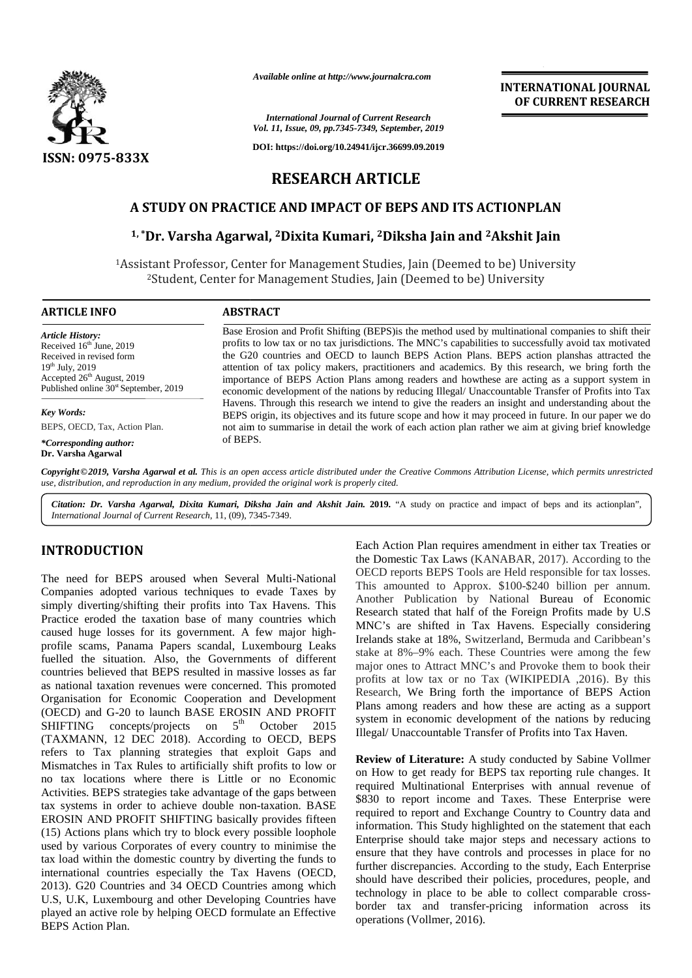

*Available online at http://www.journalcra.com*

**INTERNATIONAL JOURNAL OF CURRENT RESEARCH INTERNATIONALRESEARCH**

*International Journal of Current Research Vol. 11, Issue, 09, pp.7345-7349, September, 2019*

# **RESEARCH ARTICLE RESEARCH**

## **A STUDY ON PRACTICE AND IMPACT OF BEPS AND ITS ACTIONPLAN A STUDY OF BEPS**

## **1, \*Dr. Varsha Agarwal, <sup>2</sup>Dixita Kumari, <sup>2</sup>Diksha Jain and <sup>2</sup>Akshit Jain <sup>2</sup>Dixita**

| $\mathbf{H}$<br>ISSN: 0975-833X                                                                                                                                                                                                                                                                                                                                                                                                                                                                                                                                                                                                                                                                                                                                                                                                                                                                                                                                                                                                                                                                                                                                                                                                                                                                                                                                              | DOI: https://doi.org/10.24941/ijcr.36699.09.2019                                                                                                                                                                                                                                                                                                                                                                                                                                                                                                                                                                                                                                                                                                                                                                                                                                                                                                           |                                                                                                                                                                                                                                                                                                                                                                                                                                                                                                                                                                                                                                                                                                                                                                                                                                                                                                                                        |
|------------------------------------------------------------------------------------------------------------------------------------------------------------------------------------------------------------------------------------------------------------------------------------------------------------------------------------------------------------------------------------------------------------------------------------------------------------------------------------------------------------------------------------------------------------------------------------------------------------------------------------------------------------------------------------------------------------------------------------------------------------------------------------------------------------------------------------------------------------------------------------------------------------------------------------------------------------------------------------------------------------------------------------------------------------------------------------------------------------------------------------------------------------------------------------------------------------------------------------------------------------------------------------------------------------------------------------------------------------------------------|------------------------------------------------------------------------------------------------------------------------------------------------------------------------------------------------------------------------------------------------------------------------------------------------------------------------------------------------------------------------------------------------------------------------------------------------------------------------------------------------------------------------------------------------------------------------------------------------------------------------------------------------------------------------------------------------------------------------------------------------------------------------------------------------------------------------------------------------------------------------------------------------------------------------------------------------------------|----------------------------------------------------------------------------------------------------------------------------------------------------------------------------------------------------------------------------------------------------------------------------------------------------------------------------------------------------------------------------------------------------------------------------------------------------------------------------------------------------------------------------------------------------------------------------------------------------------------------------------------------------------------------------------------------------------------------------------------------------------------------------------------------------------------------------------------------------------------------------------------------------------------------------------------|
|                                                                                                                                                                                                                                                                                                                                                                                                                                                                                                                                                                                                                                                                                                                                                                                                                                                                                                                                                                                                                                                                                                                                                                                                                                                                                                                                                                              | <b>RESEARCH ARTICLE</b>                                                                                                                                                                                                                                                                                                                                                                                                                                                                                                                                                                                                                                                                                                                                                                                                                                                                                                                                    |                                                                                                                                                                                                                                                                                                                                                                                                                                                                                                                                                                                                                                                                                                                                                                                                                                                                                                                                        |
|                                                                                                                                                                                                                                                                                                                                                                                                                                                                                                                                                                                                                                                                                                                                                                                                                                                                                                                                                                                                                                                                                                                                                                                                                                                                                                                                                                              |                                                                                                                                                                                                                                                                                                                                                                                                                                                                                                                                                                                                                                                                                                                                                                                                                                                                                                                                                            | A STUDY ON PRACTICE AND IMPACT OF BEPS AND ITS ACTIONPLAN                                                                                                                                                                                                                                                                                                                                                                                                                                                                                                                                                                                                                                                                                                                                                                                                                                                                              |
|                                                                                                                                                                                                                                                                                                                                                                                                                                                                                                                                                                                                                                                                                                                                                                                                                                                                                                                                                                                                                                                                                                                                                                                                                                                                                                                                                                              |                                                                                                                                                                                                                                                                                                                                                                                                                                                                                                                                                                                                                                                                                                                                                                                                                                                                                                                                                            | <sup>1,*</sup> Dr. Varsha Agarwal, <sup>2</sup> Dixita Kumari, <sup>2</sup> Diksha Jain and <sup>2</sup> Akshit Jain                                                                                                                                                                                                                                                                                                                                                                                                                                                                                                                                                                                                                                                                                                                                                                                                                   |
|                                                                                                                                                                                                                                                                                                                                                                                                                                                                                                                                                                                                                                                                                                                                                                                                                                                                                                                                                                                                                                                                                                                                                                                                                                                                                                                                                                              |                                                                                                                                                                                                                                                                                                                                                                                                                                                                                                                                                                                                                                                                                                                                                                                                                                                                                                                                                            | <sup>1</sup> Assistant Professor, Center for Management Studies, Jain (Deemed to be) University<br><sup>2</sup> Student, Center for Management Studies, Jain (Deemed to be) University                                                                                                                                                                                                                                                                                                                                                                                                                                                                                                                                                                                                                                                                                                                                                 |
| <b>ARTICLE INFO</b>                                                                                                                                                                                                                                                                                                                                                                                                                                                                                                                                                                                                                                                                                                                                                                                                                                                                                                                                                                                                                                                                                                                                                                                                                                                                                                                                                          | <b>ABSTRACT</b>                                                                                                                                                                                                                                                                                                                                                                                                                                                                                                                                                                                                                                                                                                                                                                                                                                                                                                                                            |                                                                                                                                                                                                                                                                                                                                                                                                                                                                                                                                                                                                                                                                                                                                                                                                                                                                                                                                        |
| <b>Article History:</b><br>Received 16th June, 2019<br>Received in revised form<br>19th July, 2019<br>Accepted 26 <sup>th</sup> August, 2019<br>Published online 30 <sup>st</sup> September, 2019<br><b>Key Words:</b><br>BEPS, OECD, Tax, Action Plan.                                                                                                                                                                                                                                                                                                                                                                                                                                                                                                                                                                                                                                                                                                                                                                                                                                                                                                                                                                                                                                                                                                                      | Base Erosion and Profit Shifting (BEPS) is the method used by multinational companies to shift their<br>profits to low tax or no tax jurisdictions. The MNC's capabilities to successfully avoid tax motivated<br>the G20 countries and OECD to launch BEPS Action Plans. BEPS action planshas attracted the<br>attention of tax policy makers, practitioners and academics. By this research, we bring forth the<br>importance of BEPS Action Plans among readers and howthese are acting as a support system in<br>economic development of the nations by reducing Illegal/ Unaccountable Transfer of Profits into Tax<br>Havens. Through this research we intend to give the readers an insight and understanding about the<br>BEPS origin, its objectives and its future scope and how it may proceed in future. In our paper we do<br>not aim to summarise in detail the work of each action plan rather we aim at giving brief knowledge<br>of BEPS. |                                                                                                                                                                                                                                                                                                                                                                                                                                                                                                                                                                                                                                                                                                                                                                                                                                                                                                                                        |
| *Corresponding author:<br>Dr. Varsha Agarwal                                                                                                                                                                                                                                                                                                                                                                                                                                                                                                                                                                                                                                                                                                                                                                                                                                                                                                                                                                                                                                                                                                                                                                                                                                                                                                                                 |                                                                                                                                                                                                                                                                                                                                                                                                                                                                                                                                                                                                                                                                                                                                                                                                                                                                                                                                                            |                                                                                                                                                                                                                                                                                                                                                                                                                                                                                                                                                                                                                                                                                                                                                                                                                                                                                                                                        |
| International Journal of Current Research, 11, (09), 7345-7349.<br><b>INTRODUCTION</b>                                                                                                                                                                                                                                                                                                                                                                                                                                                                                                                                                                                                                                                                                                                                                                                                                                                                                                                                                                                                                                                                                                                                                                                                                                                                                       |                                                                                                                                                                                                                                                                                                                                                                                                                                                                                                                                                                                                                                                                                                                                                                                                                                                                                                                                                            | Citation: Dr. Varsha Agarwal, Dixita Kumari, Diksha Jain and Akshit Jain. 2019. "A study on practice and impact of beps and its actionplan",<br>Each Action Plan requires amendment in either tax Treaties or                                                                                                                                                                                                                                                                                                                                                                                                                                                                                                                                                                                                                                                                                                                          |
| The need for BEPS aroused when Several Multi-National<br>Companies adopted various techniques to evade Taxes by<br>simply diverting/shifting their profits into Tax Havens. This<br>Practice eroded the taxation base of many countries which<br>caused huge losses for its government. A few major high-<br>profile scams, Panama Papers scandal, Luxembourg Leaks<br>fuelled the situation. Also, the Governments of different<br>countries believed that BEPS resulted in massive losses as far<br>as national taxation revenues were concerned. This promoted<br>Organisation for Economic Cooperation and Development<br>(OECD) and G-20 to launch BASE EROSIN AND PROFIT<br>concepts/projects on $5th$ October<br>SHIFTING<br>2015<br>(TAXMANN, 12 DEC 2018). According to OECD, BEPS<br>refers to Tax planning strategies that exploit Gaps and<br>Mismatches in Tax Rules to artificially shift profits to low or<br>no tax locations where there is Little or no Economic<br>Activities. BEPS strategies take advantage of the gaps between<br>tax systems in order to achieve double non-taxation. BASE<br>EROSIN AND PROFIT SHIFTING basically provides fifteen<br>(15) Actions plans which try to block every possible loophole<br>used by various Corporates of every country to minimise the<br>tax load within the domestic country by diverting the funds to |                                                                                                                                                                                                                                                                                                                                                                                                                                                                                                                                                                                                                                                                                                                                                                                                                                                                                                                                                            | the Domestic Tax Laws (KANABAR, 2017). According to the<br>OECD reports BEPS Tools are Held responsible for tax losses.<br>This amounted to Approx. \$100-\$240 billion per annum.<br>Another Publication by National Bureau of Economic<br>Research stated that half of the Foreign Profits made by U.S.<br>MNC's are shifted in Tax Havens. Especially considering<br>Irelands stake at 18%, Switzerland, Bermuda and Caribbean's<br>stake at 8%-9% each. These Countries were among the few<br>major ones to Attract MNC's and Provoke them to book their<br>profits at low tax or no Tax (WIKIPEDIA ,2016). By this<br>Research, We Bring forth the importance of BEPS Action<br>Plans among readers and how these are acting as a support<br>system in economic development of the nations by reducing<br>Illegal/ Unaccountable Transfer of Profits into Tax Haven.<br>Review of Literature: A study conducted by Sabine Vollmer |
|                                                                                                                                                                                                                                                                                                                                                                                                                                                                                                                                                                                                                                                                                                                                                                                                                                                                                                                                                                                                                                                                                                                                                                                                                                                                                                                                                                              |                                                                                                                                                                                                                                                                                                                                                                                                                                                                                                                                                                                                                                                                                                                                                                                                                                                                                                                                                            | on How to get ready for BEPS tax reporting rule changes. It<br>required Multinational Enterprises with annual revenue of<br>\$830 to report income and Taxes. These Enterprise were<br>required to report and Exchange Country to Country data and<br>information. This Study highlighted on the statement that each<br>Enterprise should take major steps and necessary actions to<br>ensure that they have controls and processes in place for no<br>Context discussion is a Association to the studie. Dank Dutch                                                                                                                                                                                                                                                                                                                                                                                                                   |

### **INTRODUCTION INTRODUCTION**

The need for BEPS aroused when Several Multi-National Companies adopted various techniques to evade Taxes by simply diverting/shifting their profits into Tax Havens. This  $R_{\text{B}}$ Practice eroded the taxation base of many countries which caused huge losses for its government. A few major high profile scams, Panama Papers scandal, Luxembourg Leaks fuelled the situation. Also, the Governments of different countries believed that BEPS resulted in massive losses as far as national taxation revenues were concerned. This promoted as national taxation revenues were concerned. This promoted  $\Gamma$ <br>Organisation for Economic Cooperation and Development (OECD) and G-20 to launch BASE EROSIN AND PROFIT<br>SHIFTING concepts/projects on  $5^{\text{th}}$  October 2015 SHIFTING concepts/projects on  $5<sup>th</sup>$  October 2015  $\frac{\text{sys}}{\text{H}_{\text{long}}}$ (TAXMANN, 12 DEC 2018). According to OECD, BEPS refers to Tax planning strategies that exploit Gaps and Mismatches in Tax Rules to artificially shift profits to low or  $\mathbb{R}$ no tax locations where there is Little or no Economic Activities. BEPS strategies take advantage of the gaps between tax systems in order to achieve double non-taxation. BASE EROSIN AND PROFIT SHIFTING basically provides fifteen (15) Actions plans which try to block every possible loophole used by various Corporates of every country to minimise the tax load within the domestic country by diverting the funds to international countries especially the Tax Havens (OECD, 2013). G20 Countries and 34 OECD Countries among which U.S, U.K, Luxembourg and other Developing Countries have played an active role by helping OECD formulate an Effective BEPS Action Plan. The need for BEPS aroused when Several Multi-National<br>Companies adopted various techniques to evade Taxes by<br>simply diverting/shifting their profits into Tax Havens. This<br>Practice eroded the taxation base of many countrie profile scams, Panama Papers scandal, Luxembourg Leaks<br>fuelled the situation. Also, the Governments of different<br>countries believed that BEPS resulted in massive losses as far (OECD) and G-20 to launch BASE EROSIN AND I<br>SHIFTING concepts/projects on  $5^{\text{th}}$  October<br>(TAXMANN, 12 DEC 2018). According to OECD refers to Tax planning strategies that exploit Gaps and<br>Mismatches in Tax Rules to artificially shift profits to low or<br>no tax locations where there is Little or no Economic Activities. BEPS strategies take advantage of the gaps between<br>tax systems in order to achieve double non-taxation. BASE<br>EROSIN AND PROFIT SHIFTING basically provides fifteen<br>(15) Actions plans which try to block every pos EVIRODUCTION EVERY AS THE STATES Action Plan. Figure 1222 The metallic Mathematic in either three tax Transics and the proposition COEO reports and the subsection of the Syrism HPS transfor two sets of Companisation of Com

Each Action Plan requires amendment in either tax Treaties or the Domestic Tax Laws (KANABAR, 2017). According to the OECD reports BEPS Tools are Held responsible for tax losses. This amounted to Approx. \$100-\$240 billion per annum. Another Publication by National Bureau of Economic Research stated that half of the Foreign Profits made by U.S MNC's are shifted in Tax Havens. Especially considering Irelands stake at 18%, Switzerland, Bermuda and Caribbean's stake at 8%–9% each. These Countries were among the few major ones to Attract MNC's and Provoke them to book their profits at low tax or no Tax (WIKIPEDIA ,2016). By this Research, We Bring forth the importance of BEPS Action Plans among readers and how these are acting as a support system in economic development of the nations by reducing Illegal/ Unaccountable Transfer of Profits into Tax Haven. 2019<br>
2019<br>
2019<br>
2019<br>
2019<br>
2019<br>
2020<br>
2020<br>
2020<br>
2020<br>
2020<br>
2020<br>
Iman d<sup>2</sup> **Akshit Jain**<br>
Im (Deemed to be) University<br>
emed to be) University<br>
method used by multimational companies to shift mean<br>
IMC's capabiliti

**Review of Literature:** A study conducted by Sabine Vollmer on How to get ready for BEPS tax reporting rule changes. It required Multinational Enterprises with annual revenue of \$830 to report income and Taxes. These Enterprise were required to report and Exchange Country to Country data and information. This Study highlighted on the statement that each Enterprise should take major steps and necessary actions to ensure that they have controls and processes in place for no further discrepancies. According to the study, Each Enterprise should have described their policies, procedures, people, and technology in place to be able to collect comparable cross border tax and transfer-pricing information across its operations (Vollmer, 2016). **Review of Literature:** A study conducted by Sabine Vollmer on How to get ready for BEPS tax reporting rule changes. It required Multinational Enterprises with annual revenue of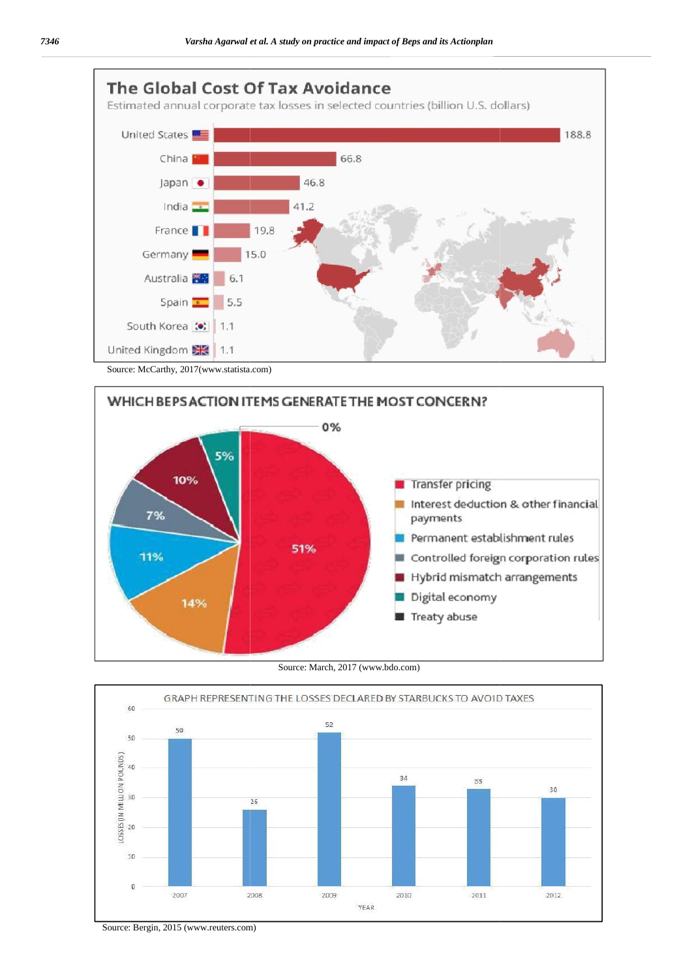



#### Source: March, 2017 (www.bdo.com)



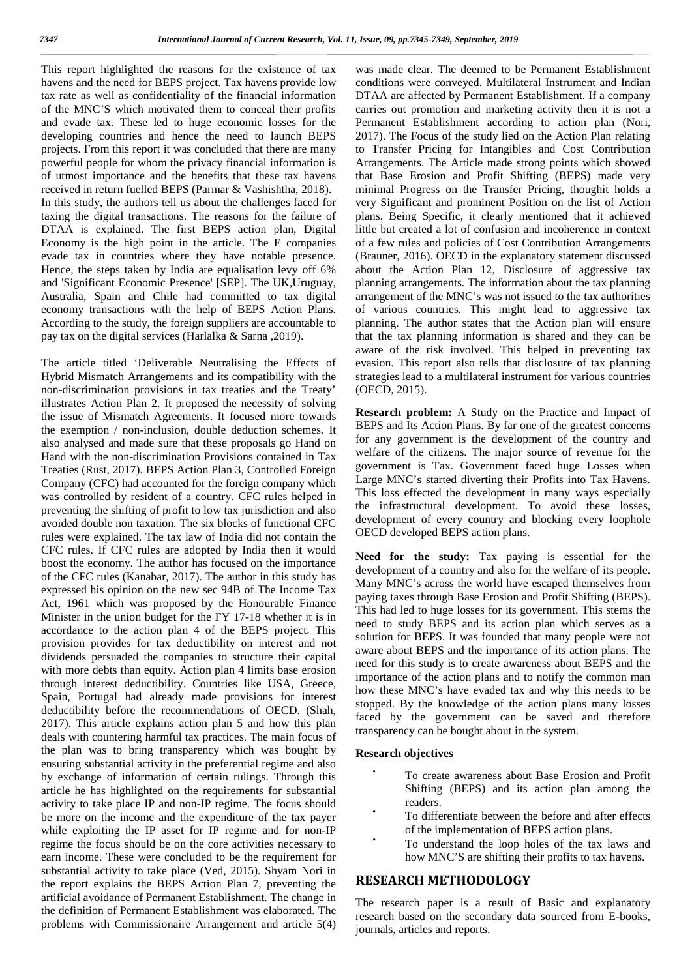This report highlighted the reasons for the existence of tax havens and the need for BEPS project. Tax havens provide low tax rate as well as confidentiality of the financial information of the MNC'S which motivated them to conceal their profits and evade tax. These led to huge economic losses for the developing countries and hence the need to launch BEPS projects. From this report it was concluded that there are many powerful people for whom the privacy financial information is of utmost importance and the benefits that these tax havens received in return fuelled BEPS (Parmar & Vashishtha, 2018). In this study, the authors tell us about the challenges faced for taxing the digital transactions. The reasons for the failure of DTAA is explained. The first BEPS action plan, Digital Economy is the high point in the article. The E companies evade tax in countries where they have notable presence. Hence, the steps taken by India are equalisation levy off 6% and 'Significant Economic Presence' [SEP]. The UK,Uruguay, Australia, Spain and Chile had committed to tax digital economy transactions with the help of BEPS Action Plans. According to the study, the foreign suppliers are accountable to pay tax on the digital services (Harlalka & Sarna ,2019).

The article titled 'Deliverable Neutralising the Effects of Hybrid Mismatch Arrangements and its compatibility with the non-discrimination provisions in tax treaties and the Treaty' illustrates Action Plan 2. It proposed the necessity of solving the issue of Mismatch Agreements. It focused more towards the exemption / non-inclusion, double deduction schemes. It also analysed and made sure that these proposals go Hand on Hand with the non-discrimination Provisions contained in Tax Treaties (Rust, 2017). BEPS Action Plan 3, Controlled Foreign Company (CFC) had accounted for the foreign company which was controlled by resident of a country. CFC rules helped in preventing the shifting of profit to low tax jurisdiction and also avoided double non taxation. The six blocks of functional CFC rules were explained. The tax law of India did not contain the CFC rules. If CFC rules are adopted by India then it would boost the economy. The author has focused on the importance of the CFC rules (Kanabar, 2017). The author in this study has expressed his opinion on the new sec 94B of The Income Tax Act, 1961 which was proposed by the Honourable Finance Minister in the union budget for the FY 17-18 whether it is in accordance to the action plan 4 of the BEPS project. This provision provides for tax deductibility on interest and not dividends persuaded the companies to structure their capital with more debts than equity. Action plan 4 limits base erosion through interest deductibility. Countries like USA, Greece, Spain, Portugal had already made provisions for interest deductibility before the recommendations of OECD. (Shah, 2017). This article explains action plan 5 and how this plan deals with countering harmful tax practices. The main focus of the plan was to bring transparency which was bought by ensuring substantial activity in the preferential regime and also by exchange of information of certain rulings. Through this article he has highlighted on the requirements for substantial activity to take place IP and non-IP regime. The focus should be more on the income and the expenditure of the tax payer while exploiting the IP asset for IP regime and for non-IP regime the focus should be on the core activities necessary to earn income. These were concluded to be the requirement for substantial activity to take place (Ved, 2015). Shyam Nori in the report explains the BEPS Action Plan 7, preventing the artificial avoidance of Permanent Establishment. The change in the definition of Permanent Establishment was elaborated. The problems with Commissionaire Arrangement and article 5(4)

was made clear. The deemed to be Permanent Establishment conditions were conveyed. Multilateral Instrument and Indian DTAA are affected by Permanent Establishment. If a company carries out promotion and marketing activity then it is not a Permanent Establishment according to action plan (Nori, 2017). The Focus of the study lied on the Action Plan relating to Transfer Pricing for Intangibles and Cost Contribution Arrangements. The Article made strong points which showed that Base Erosion and Profit Shifting (BEPS) made very minimal Progress on the Transfer Pricing, thoughit holds a very Significant and prominent Position on the list of Action plans. Being Specific, it clearly mentioned that it achieved little but created a lot of confusion and incoherence in context of a few rules and policies of Cost Contribution Arrangements (Brauner, 2016). OECD in the explanatory statement discussed about the Action Plan 12, Disclosure of aggressive tax planning arrangements. The information about the tax planning arrangement of the MNC's was not issued to the tax authorities of various countries. This might lead to aggressive tax planning. The author states that the Action plan will ensure that the tax planning information is shared and they can be aware of the risk involved. This helped in preventing tax evasion. This report also tells that disclosure of tax planning strategies lead to a multilateral instrument for various countries (OECD, 2015).

**Research problem:** A Study on the Practice and Impact of BEPS and Its Action Plans. By far one of the greatest concerns for any government is the development of the country and welfare of the citizens. The major source of revenue for the government is Tax. Government faced huge Losses when Large MNC's started diverting their Profits into Tax Havens. This loss effected the development in many ways especially the infrastructural development. To avoid these losses, development of every country and blocking every loophole OECD developed BEPS action plans.

**Need for the study:** Tax paying is essential for the development of a country and also for the welfare of its people. Many MNC's across the world have escaped themselves from paying taxes through Base Erosion and Profit Shifting (BEPS). This had led to huge losses for its government. This stems the need to study BEPS and its action plan which serves as a solution for BEPS. It was founded that many people were not aware about BEPS and the importance of its action plans. The need for this study is to create awareness about BEPS and the importance of the action plans and to notify the common man how these MNC's have evaded tax and why this needs to be stopped. By the knowledge of the action plans many losses faced by the government can be saved and therefore transparency can be bought about in the system.

#### **Research objectives**

- To create awareness about Base Erosion and Profit Shifting (BEPS) and its action plan among the readers.
- To differentiate between the before and after effects of the implementation of BEPS action plans.
- To understand the loop holes of the tax laws and how MNC'S are shifting their profits to tax havens.

#### **RESEARCH METHODOLOGY**

The research paper is a result of Basic and explanatory research based on the secondary data sourced from E-books, journals, articles and reports.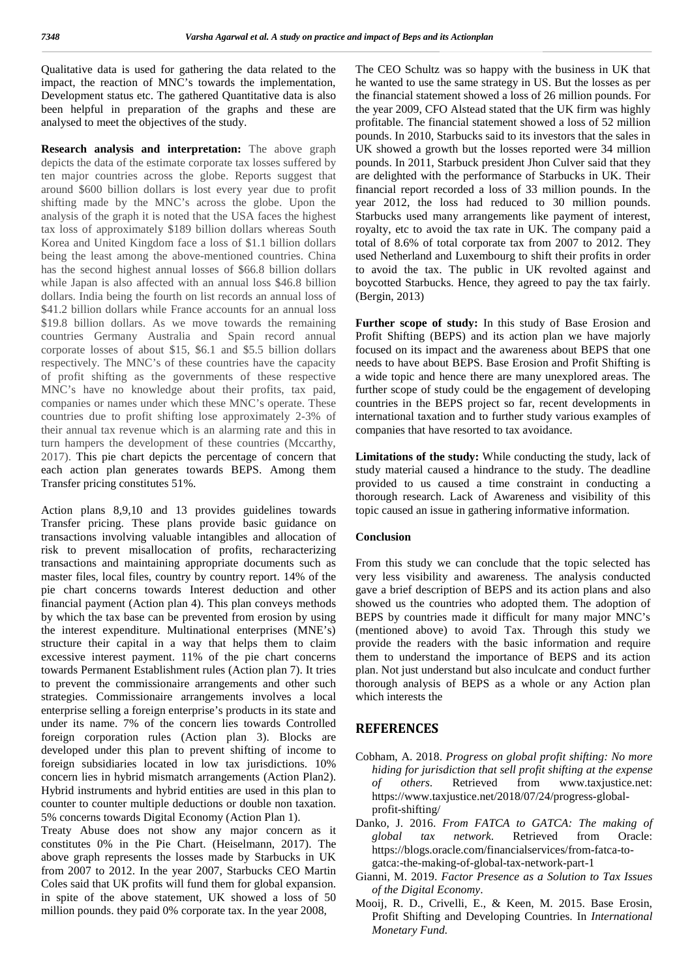Qualitative data is used for gathering the data related to the impact, the reaction of MNC's towards the implementation, Development status etc. The gathered Quantitative data is also been helpful in preparation of the graphs and these are analysed to meet the objectives of the study.

**Research analysis and interpretation:** The above graph depicts the data of the estimate corporate tax losses suffered by ten major countries across the globe. Reports suggest that around \$600 billion dollars is lost every year due to profit shifting made by the MNC's across the globe. Upon the analysis of the graph it is noted that the USA faces the highest tax loss of approximately \$189 billion dollars whereas South Korea and United Kingdom face a loss of \$1.1 billion dollars being the least among the above-mentioned countries. China has the second highest annual losses of \$66.8 billion dollars while Japan is also affected with an annual loss \$46.8 billion dollars. India being the fourth on list records an annual loss of \$41.2 billion dollars while France accounts for an annual loss \$19.8 billion dollars. As we move towards the remaining countries Germany Australia and Spain record annual corporate losses of about \$15, \$6.1 and \$5.5 billion dollars respectively. The MNC's of these countries have the capacity of profit shifting as the governments of these respective MNC's have no knowledge about their profits, tax paid, companies or names under which these MNC's operate. These countries due to profit shifting lose approximately 2-3% of their annual tax revenue which is an alarming rate and this in turn hampers the development of these countries (Mccarthy, 2017). This pie chart depicts the percentage of concern that each action plan generates towards BEPS. Among them Transfer pricing constitutes 51%.

Action plans 8,9,10 and 13 provides guidelines towards Transfer pricing. These plans provide basic guidance on transactions involving valuable intangibles and allocation of risk to prevent misallocation of profits, recharacterizing transactions and maintaining appropriate documents such as master files, local files, country by country report. 14% of the pie chart concerns towards Interest deduction and other financial payment (Action plan 4). This plan conveys methods by which the tax base can be prevented from erosion by using the interest expenditure. Multinational enterprises (MNE's) structure their capital in a way that helps them to claim excessive interest payment. 11% of the pie chart concerns towards Permanent Establishment rules (Action plan 7). It tries to prevent the commissionaire arrangements and other such strategies. Commissionaire arrangements involves a local enterprise selling a foreign enterprise's products in its state and under its name. 7% of the concern lies towards Controlled foreign corporation rules (Action plan 3). Blocks are developed under this plan to prevent shifting of income to foreign subsidiaries located in low tax jurisdictions. 10% concern lies in hybrid mismatch arrangements (Action Plan2). Hybrid instruments and hybrid entities are used in this plan to  $\int_{1.44}^{6}$ counter to counter multiple deductions or double non taxation. 5% concerns towards Digital Economy (Action Plan 1).

Treaty Abuse does not show any major concern as it Treaty Abuse does not show any major concern as it  $_{global}$  constitutes 0% in the Pie Chart. (Heiselmann, 2017). The  $_{thermal}$ above graph represents the losses made by Starbucks in UK from 2007 to 2012. In the year 2007, Starbucks CEO Martin Coles said that UK profits will fund them for global expansion. in spite of the above statement, UK showed a loss of 50 million pounds. they paid 0% corporate tax. In the year 2008,

The CEO Schultz was so happy with the business in UK that he wanted to use the same strategy in US. But the losses as per the financial statement showed a loss of 26 million pounds. For the year 2009, CFO Alstead stated that the UK firm was highly profitable. The financial statement showed a loss of 52 million pounds. In 2010, Starbucks said to its investors that the sales in UK showed a growth but the losses reported were 34 million pounds. In 2011, Starbuck president Jhon Culver said that they are delighted with the performance of Starbucks in UK. Their financial report recorded a loss of 33 million pounds. In the year 2012, the loss had reduced to 30 million pounds. Starbucks used many arrangements like payment of interest, royalty, etc to avoid the tax rate in UK. The company paid a total of 8.6% of total corporate tax from 2007 to 2012. They used Netherland and Luxembourg to shift their profits in order to avoid the tax. The public in UK revolted against and boycotted Starbucks. Hence, they agreed to pay the tax fairly. (Bergin, 2013)

**Further scope of study:** In this study of Base Erosion and Profit Shifting (BEPS) and its action plan we have majorly focused on its impact and the awareness about BEPS that one needs to have about BEPS. Base Erosion and Profit Shifting is a wide topic and hence there are many unexplored areas. The further scope of study could be the engagement of developing countries in the BEPS project so far, recent developments in international taxation and to further study various examples of companies that have resorted to tax avoidance.

**Limitations of the study:** While conducting the study, lack of study material caused a hindrance to the study. The deadline provided to us caused a time constraint in conducting a thorough research. Lack of Awareness and visibility of this topic caused an issue in gathering informative information.

#### **Conclusion**

From this study we can conclude that the topic selected has very less visibility and awareness. The analysis conducted gave a brief description of BEPS and its action plans and also showed us the countries who adopted them. The adoption of BEPS by countries made it difficult for many major MNC's (mentioned above) to avoid Tax. Through this study we provide the readers with the basic information and require them to understand the importance of BEPS and its action plan. Not just understand but also inculcate and conduct further thorough analysis of BEPS as a whole or any Action plan which interests the

#### **REFERENCES**

- Cobham, A. 2018. *Progress on global profit shifting: No more hiding for jurisdiction that sell profit shifting at the expense others*. Retrieved from www.taxjustice.net: https://www.taxjustice.net/2018/07/24/progress-global profit-shifting/
- Danko, J. 2016. *From FATCA to GATCA: The making of tax network*. Retrieved from Oracle: https://blogs.oracle.com/financialservices/from-fatca-to gatca:-the-making-of-global-tax-network-part-1
- Gianni, M. 2019. *Factor Presence as a Solution to Tax Issues of the Digital Economy*.
- Mooij, R. D., Crivelli, E., & Keen, M. 2015. Base Erosin, Profit Shifting and Developing Countries. In *International Monetary Fund.*